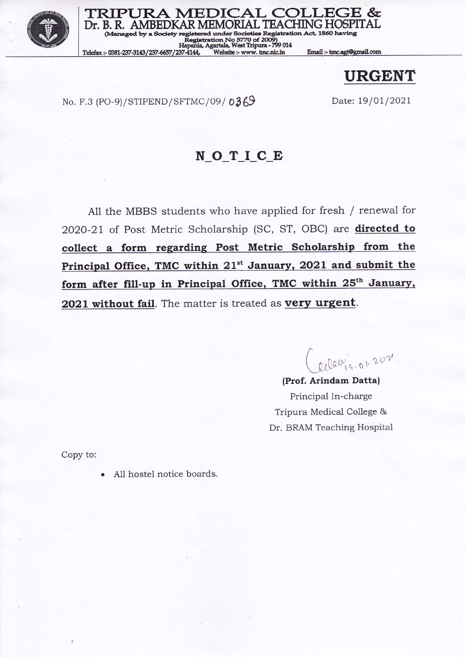

TRIPURA MEDICAL COLLEGE &  $Dr B$ Registration Act, 1860 having Managed by a Socie Registration No 5770 of 2009)<br>Hapania, Agartala, West Tripura - 799 014 Email:-tmc.agt@gmail.com Telefax: - 0381-237-3143/237-6657/237-4144. Website :- www. tmc.nic.in

**URGENT** 

No. F.3 (PO-9)/STIPEND/SFTMC/09/0369

Date: 19/01/2021

## NOTICE

All the MBBS students who have applied for fresh / renewal for 2020-21 of Post Metric Scholarship (SC, ST, OBC) are directed to collect a form regarding Post Metric Scholarship from the Principal Office, TMC within 21st January, 2021 and submit the form after fill-up in Principal Office, TMC within 25<sup>th</sup> January, 2021 without fail. The matter is treated as very urgent.

allarig. or 2021

(Prof. Arindam Datta) Principal In-charge Tripura Medical College & Dr. BRAM Teaching Hospital

Copy to:

All hostel notice boards.